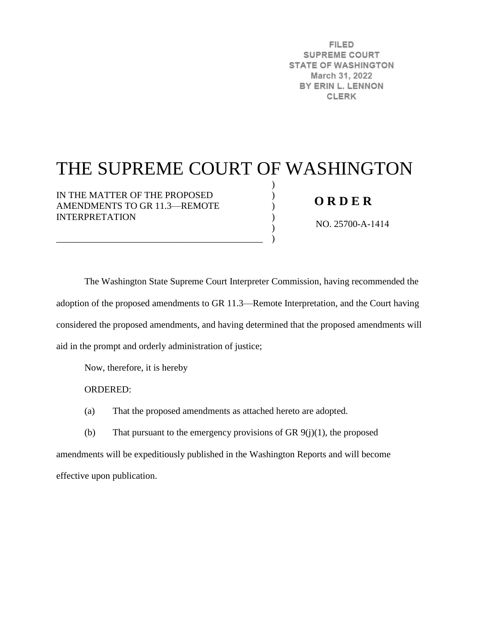**FILED SUPREME COURT STATE OF WASHINGTON** March 31, 2022 BY ERIN L. LENNON **CLERK** 

## THE SUPREME COURT OF WASHINGTON

) ) ) ) ) )

IN THE MATTER OF THE PROPOSED AMENDMENTS TO GR 11.3—REMOTE INTERPRETATION

\_\_\_\_\_\_\_\_\_\_\_\_\_\_\_\_\_\_\_\_\_\_\_\_\_\_\_\_\_\_\_\_\_\_\_\_\_\_\_\_\_\_\_\_

## **O R D E R**

NO. 25700-A-1414

The Washington State Supreme Court Interpreter Commission, having recommended the adoption of the proposed amendments to GR 11.3—Remote Interpretation, and the Court having considered the proposed amendments, and having determined that the proposed amendments will aid in the prompt and orderly administration of justice;

Now, therefore, it is hereby

ORDERED:

(a) That the proposed amendments as attached hereto are adopted.

(b) That pursuant to the emergency provisions of GR  $9(j)(1)$ , the proposed amendments will be expeditiously published in the Washington Reports and will become effective upon publication.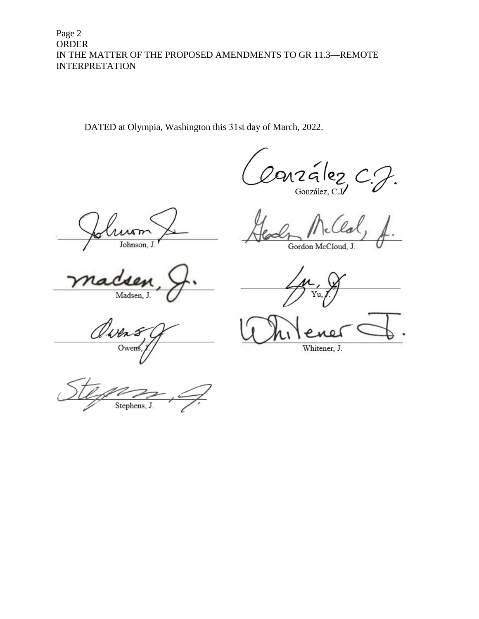Page 2 ORDER IN THE MATTER OF THE PROPOSED AMENDMENTS TO GR 11.3—REMOTE INTERPRETATION

DATED at Olympia, Washington this 31st day of March, 2022.

arzález González, C.

r Johnson, J

Madsen, J.

(Mn

Owen

Gordon McCloud, J.

Whitener, J.

Stephens, J.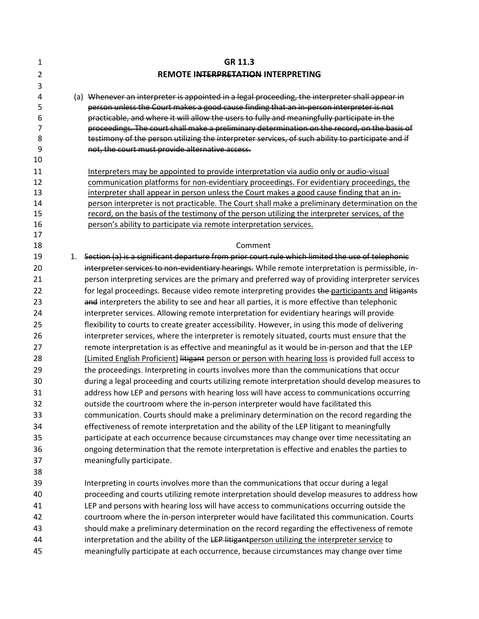| 1                    |    | GR 11.3                                                                                                                                                                                                                                                                                                                                                                                   |
|----------------------|----|-------------------------------------------------------------------------------------------------------------------------------------------------------------------------------------------------------------------------------------------------------------------------------------------------------------------------------------------------------------------------------------------|
| $\overline{2}$       |    | REMOTE INTERPRETATION INTERPRETING                                                                                                                                                                                                                                                                                                                                                        |
| 3                    |    |                                                                                                                                                                                                                                                                                                                                                                                           |
| 4<br>5<br>6<br>7     |    | (a) Whenever an interpreter is appointed in a legal proceeding, the interpreter shall appear in<br>person unless the Court makes a good cause finding that an in-person interpreter is not<br>practicable, and where it will allow the users to fully and meaningfully participate in the<br>proceedings. The court shall make a preliminary determination on the record, on the basis of |
| 8<br>9               |    | testimony of the person utilizing the interpreter services, of such ability to participate and if<br>not, the court must provide alternative access.                                                                                                                                                                                                                                      |
| 10                   |    |                                                                                                                                                                                                                                                                                                                                                                                           |
| 11<br>12             |    | Interpreters may be appointed to provide interpretation via audio only or audio-visual<br>communication platforms for non-evidentiary proceedings. For evidentiary proceedings, the                                                                                                                                                                                                       |
| 13<br>14<br>15<br>16 |    | interpreter shall appear in person unless the Court makes a good cause finding that an in-<br>person interpreter is not practicable. The Court shall make a preliminary determination on the<br>record, on the basis of the testimony of the person utilizing the interpreter services, of the<br>person's ability to participate via remote interpretation services.                     |
| 17                   |    | Comment                                                                                                                                                                                                                                                                                                                                                                                   |
| 18<br>19             |    | Section (a) is a significant departure from prior court rule which limited the use of telephonic                                                                                                                                                                                                                                                                                          |
| 20                   | 1. | interpreter services to non-evidentiary hearings. While remote interpretation is permissible, in-                                                                                                                                                                                                                                                                                         |
| 21                   |    | person interpreting services are the primary and preferred way of providing interpreter services                                                                                                                                                                                                                                                                                          |
| 22                   |    | for legal proceedings. Because video remote interpreting provides the participants and litigants                                                                                                                                                                                                                                                                                          |
| 23                   |    | and interpreters the ability to see and hear all parties, it is more effective than telephonic                                                                                                                                                                                                                                                                                            |
| 24                   |    |                                                                                                                                                                                                                                                                                                                                                                                           |
| 25                   |    | interpreter services. Allowing remote interpretation for evidentiary hearings will provide                                                                                                                                                                                                                                                                                                |
|                      |    | flexibility to courts to create greater accessibility. However, in using this mode of delivering                                                                                                                                                                                                                                                                                          |
| 26<br>27             |    | interpreter services, where the interpreter is remotely situated, courts must ensure that the                                                                                                                                                                                                                                                                                             |
| 28                   |    | remote interpretation is as effective and meaningful as it would be in-person and that the LEP                                                                                                                                                                                                                                                                                            |
| 29                   |    | (Limited English Proficient) litigant person or person with hearing loss is provided full access to<br>the proceedings. Interpreting in courts involves more than the communications that occur                                                                                                                                                                                           |
| 30                   |    |                                                                                                                                                                                                                                                                                                                                                                                           |
| 31                   |    | during a legal proceeding and courts utilizing remote interpretation should develop measures to                                                                                                                                                                                                                                                                                           |
| 32                   |    | address how LEP and persons with hearing loss will have access to communications occurring                                                                                                                                                                                                                                                                                                |
|                      |    | outside the courtroom where the in-person interpreter would have facilitated this                                                                                                                                                                                                                                                                                                         |
| 33                   |    | communication. Courts should make a preliminary determination on the record regarding the                                                                                                                                                                                                                                                                                                 |
| 34                   |    | effectiveness of remote interpretation and the ability of the LEP litigant to meaningfully                                                                                                                                                                                                                                                                                                |
| 35                   |    | participate at each occurrence because circumstances may change over time necessitating an                                                                                                                                                                                                                                                                                                |
| 36                   |    | ongoing determination that the remote interpretation is effective and enables the parties to                                                                                                                                                                                                                                                                                              |
| 37                   |    | meaningfully participate.                                                                                                                                                                                                                                                                                                                                                                 |
| 38                   |    |                                                                                                                                                                                                                                                                                                                                                                                           |
| 39                   |    | Interpreting in courts involves more than the communications that occur during a legal                                                                                                                                                                                                                                                                                                    |
| 40                   |    | proceeding and courts utilizing remote interpretation should develop measures to address how                                                                                                                                                                                                                                                                                              |
| 41                   |    | LEP and persons with hearing loss will have access to communications occurring outside the                                                                                                                                                                                                                                                                                                |
| 42                   |    | courtroom where the in-person interpreter would have facilitated this communication. Courts                                                                                                                                                                                                                                                                                               |
| 43                   |    | should make a preliminary determination on the record regarding the effectiveness of remote                                                                                                                                                                                                                                                                                               |
| 44                   |    | interpretation and the ability of the LEP litigantperson utilizing the interpreter service to                                                                                                                                                                                                                                                                                             |
| 45                   |    | meaningfully participate at each occurrence, because circumstances may change over time                                                                                                                                                                                                                                                                                                   |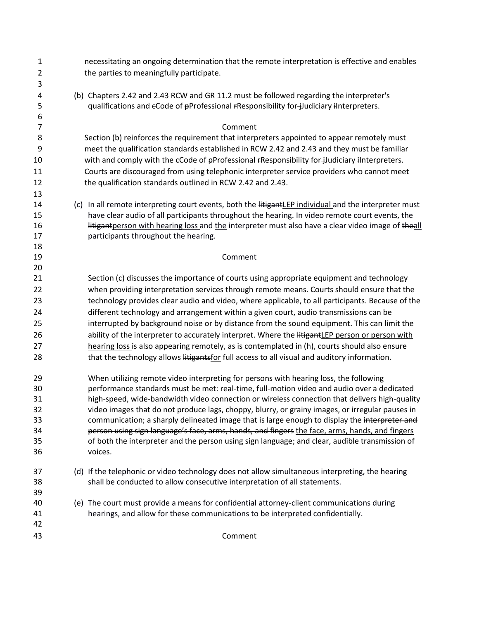| 1                   | necessitating an ongoing determination that the remote interpretation is effective and enables        |  |
|---------------------|-------------------------------------------------------------------------------------------------------|--|
| $\overline{2}$      | the parties to meaningfully participate.                                                              |  |
| 3                   |                                                                                                       |  |
| 4                   | (b) Chapters 2.42 and 2.43 RCW and GR 11.2 must be followed regarding the interpreter's               |  |
| 5                   | qualifications and eCode of pProfessional FResponsibility for-judiciary interpreters.                 |  |
| 6<br>$\overline{7}$ | Comment                                                                                               |  |
| 8                   | Section (b) reinforces the requirement that interpreters appointed to appear remotely must            |  |
| 9                   | meet the qualification standards established in RCW 2.42 and 2.43 and they must be familiar           |  |
| 10                  | with and comply with the eCode of pProfessional rResponsibility for-judiciary interpreters.           |  |
| 11                  | Courts are discouraged from using telephonic interpreter service providers who cannot meet            |  |
| 12                  | the qualification standards outlined in RCW 2.42 and 2.43.                                            |  |
| 13                  |                                                                                                       |  |
| 14                  | (c) In all remote interpreting court events, both the litigantLEP individual and the interpreter must |  |
| 15                  | have clear audio of all participants throughout the hearing. In video remote court events, the        |  |
| 16                  | litigantperson with hearing loss and the interpreter must also have a clear video image of theall     |  |
| 17                  | participants throughout the hearing.                                                                  |  |
| 18                  |                                                                                                       |  |
| 19                  | Comment                                                                                               |  |
| 20                  |                                                                                                       |  |
| 21                  | Section (c) discusses the importance of courts using appropriate equipment and technology             |  |
| 22                  | when providing interpretation services through remote means. Courts should ensure that the            |  |
| 23                  | technology provides clear audio and video, where applicable, to all participants. Because of the      |  |
| 24                  | different technology and arrangement within a given court, audio transmissions can be                 |  |
| 25                  | interrupted by background noise or by distance from the sound equipment. This can limit the           |  |
| 26                  | ability of the interpreter to accurately interpret. Where the litigantLEP person or person with       |  |
| 27                  | hearing loss is also appearing remotely, as is contemplated in (h), courts should also ensure         |  |
| 28                  | that the technology allows litigantsfor full access to all visual and auditory information.           |  |
| 29                  | When utilizing remote video interpreting for persons with hearing loss, the following                 |  |
| 30                  | performance standards must be met: real-time, full-motion video and audio over a dedicated            |  |
| 31                  | high-speed, wide-bandwidth video connection or wireless connection that delivers high-quality         |  |
| 32                  | video images that do not produce lags, choppy, blurry, or grainy images, or irregular pauses in       |  |
| 33                  | communication; a sharply delineated image that is large enough to display the interpreter and         |  |
| 34                  | person using sign language's face, arms, hands, and fingers the face, arms, hands, and fingers        |  |
| 35                  | of both the interpreter and the person using sign language; and clear, audible transmission of        |  |
| 36                  | voices.                                                                                               |  |
| 37                  | (d) If the telephonic or video technology does not allow simultaneous interpreting, the hearing       |  |
| 38                  | shall be conducted to allow consecutive interpretation of all statements.                             |  |
| 39                  |                                                                                                       |  |
| 40                  | (e) The court must provide a means for confidential attorney-client communications during             |  |
| 41                  | hearings, and allow for these communications to be interpreted confidentially.                        |  |
| 42                  |                                                                                                       |  |
| 43                  | Comment                                                                                               |  |
|                     |                                                                                                       |  |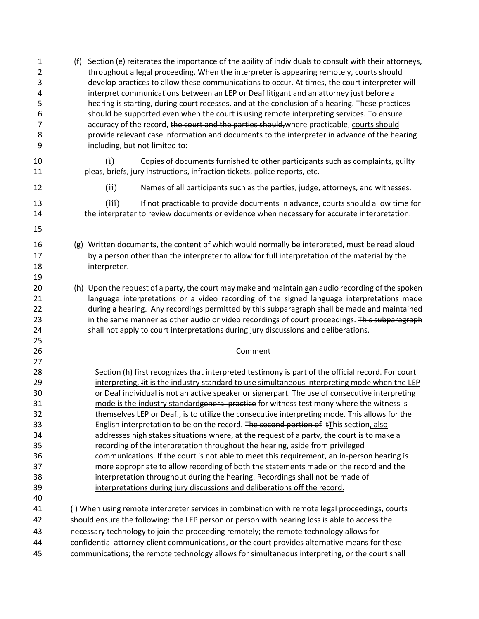| $\mathbf 1$<br>$\overline{2}$<br>3<br>4<br>5<br>6<br>$\overline{7}$<br>8<br>9 | Section (e) reiterates the importance of the ability of individuals to consult with their attorneys,<br>(f)<br>throughout a legal proceeding. When the interpreter is appearing remotely, courts should<br>develop practices to allow these communications to occur. At times, the court interpreter will<br>interpret communications between an LEP or Deaf litigant and an attorney just before a<br>hearing is starting, during court recesses, and at the conclusion of a hearing. These practices<br>should be supported even when the court is using remote interpreting services. To ensure<br>accuracy of the record, the court and the parties should, where practicable, courts should<br>provide relevant case information and documents to the interpreter in advance of the hearing<br>including, but not limited to: |
|-------------------------------------------------------------------------------|------------------------------------------------------------------------------------------------------------------------------------------------------------------------------------------------------------------------------------------------------------------------------------------------------------------------------------------------------------------------------------------------------------------------------------------------------------------------------------------------------------------------------------------------------------------------------------------------------------------------------------------------------------------------------------------------------------------------------------------------------------------------------------------------------------------------------------|
| 10<br>11                                                                      | (i)<br>Copies of documents furnished to other participants such as complaints, guilty<br>pleas, briefs, jury instructions, infraction tickets, police reports, etc.                                                                                                                                                                                                                                                                                                                                                                                                                                                                                                                                                                                                                                                                |
| 12                                                                            | (ii)<br>Names of all participants such as the parties, judge, attorneys, and witnesses.                                                                                                                                                                                                                                                                                                                                                                                                                                                                                                                                                                                                                                                                                                                                            |
| 13<br>14                                                                      | (iii)<br>If not practicable to provide documents in advance, courts should allow time for<br>the interpreter to review documents or evidence when necessary for accurate interpretation.                                                                                                                                                                                                                                                                                                                                                                                                                                                                                                                                                                                                                                           |
| 15<br>16<br>17<br>18<br>19                                                    | (g) Written documents, the content of which would normally be interpreted, must be read aloud<br>by a person other than the interpreter to allow for full interpretation of the material by the<br>interpreter.                                                                                                                                                                                                                                                                                                                                                                                                                                                                                                                                                                                                                    |
| 20<br>21<br>22<br>23<br>24<br>25                                              | (h) Upon the request of a party, the court may make and maintain aan audio recording of the spoken<br>language interpretations or a video recording of the signed language interpretations made<br>during a hearing. Any recordings permitted by this subparagraph shall be made and maintained<br>in the same manner as other audio or video recordings of court proceedings. This subparagraph<br>shall not apply to court interpretations during jury discussions and deliberations.                                                                                                                                                                                                                                                                                                                                            |
| 26<br>27                                                                      | Comment                                                                                                                                                                                                                                                                                                                                                                                                                                                                                                                                                                                                                                                                                                                                                                                                                            |
| 28<br>29<br>30<br>31<br>32<br>33                                              | Section (h) first recognizes that interpreted testimony is part of the official record. For court<br>interpreting, Iit is the industry standard to use simultaneous interpreting mode when the LEP<br>or Deaf individual is not an active speaker or signerpart. The use of consecutive interpreting<br>mode is the industry standardgeneral practice for witness testimony where the witness is<br>themselves LEP or Deaf., is to utilize the consecutive interpreting mode. This allows for the<br>English interpretation to be on the record. The second portion of tThis section, also                                                                                                                                                                                                                                         |
| 34<br>35<br>36<br>37<br>38<br>39                                              | addresses high stakes situations where, at the request of a party, the court is to make a<br>recording of the interpretation throughout the hearing, aside from privileged<br>communications. If the court is not able to meet this requirement, an in-person hearing is<br>more appropriate to allow recording of both the statements made on the record and the<br>interpretation throughout during the hearing. Recordings shall not be made of<br>interpretations during jury discussions and deliberations off the record.                                                                                                                                                                                                                                                                                                    |
| 40<br>41<br>42                                                                | (i) When using remote interpreter services in combination with remote legal proceedings, courts<br>should ensure the following: the LEP person or person with hearing loss is able to access the                                                                                                                                                                                                                                                                                                                                                                                                                                                                                                                                                                                                                                   |
| 43<br>44<br>45                                                                | necessary technology to join the proceeding remotely; the remote technology allows for<br>confidential attorney-client communications, or the court provides alternative means for these<br>communications; the remote technology allows for simultaneous interpreting, or the court shall                                                                                                                                                                                                                                                                                                                                                                                                                                                                                                                                         |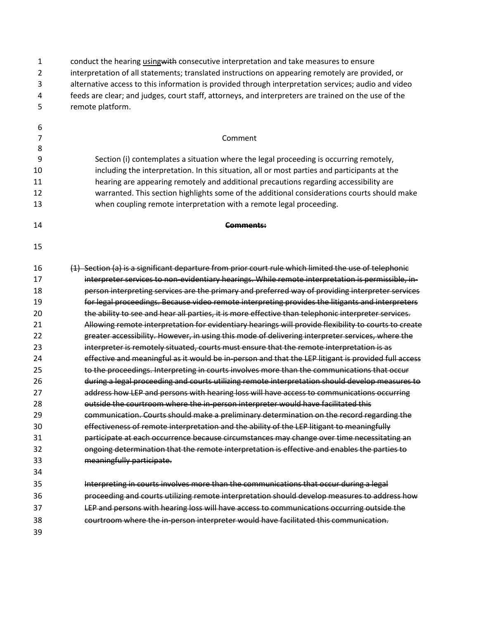| $\mathbf{1}$   | conduct the hearing <i>using</i> with consecutive interpretation and take measures to ensure         |
|----------------|------------------------------------------------------------------------------------------------------|
| $\overline{2}$ | interpretation of all statements; translated instructions on appearing remotely are provided, or     |
| 3              | alternative access to this information is provided through interpretation services; audio and video  |
| 4              | feeds are clear; and judges, court staff, attorneys, and interpreters are trained on the use of the  |
| 5              | remote platform.                                                                                     |
| 6              |                                                                                                      |
| 7              | Comment                                                                                              |
| 8              |                                                                                                      |
| 9              | Section (i) contemplates a situation where the legal proceeding is occurring remotely,               |
| 10             | including the interpretation. In this situation, all or most parties and participants at the         |
| 11             | hearing are appearing remotely and additional precautions regarding accessibility are                |
| 12             | warranted. This section highlights some of the additional considerations courts should make          |
| 13             | when coupling remote interpretation with a remote legal proceeding.                                  |
| 14             | Comments:                                                                                            |
| 15             |                                                                                                      |
| 16             | (1) Section (a) is a significant departure from prior court rule which limited the use of telephonic |
| 17             | interpreter services to non-evidentiary hearings. While remote interpretation is permissible, in-    |
| 18             | person interpreting services are the primary and preferred way of providing interpreter services     |
| 19             | for legal proceedings. Because video remote interpreting provides the litigants and interpreters     |
| 20             | the ability to see and hear all parties, it is more effective than telephonic interpreter services.  |
| 21             | Allowing remote interpretation for evidentiary hearings will provide flexibility to courts to create |
| 22             | greater accessibility. However, in using this mode of delivering interpreter services, where the     |
| 23             | interpreter is remotely situated, courts must ensure that the remote interpretation is as            |
| 24             | effective and meaningful as it would be in-person and that the LEP litigant is provided full access  |
| 25             | to the proceedings. Interpreting in courts involves more than the communications that occur          |
| 26             | during a legal proceeding and courts utilizing remote interpretation should develop measures to      |
| 27             | address how LEP and persons with hearing loss will have access to communications occurring           |
| 28             | outside the courtroom where the in-person interpreter would have facilitated this                    |
| 29             | communication. Courts should make a preliminary determination on the record regarding the            |
| 30             | effectiveness of remote interpretation and the ability of the LEP litigant to meaningfully           |
| 31             | participate at each occurrence because circumstances may change over time necessitating an           |
| 32             | ongoing determination that the remote interpretation is effective and enables the parties to         |
| 33             | meaningfully participate.                                                                            |
| 34             |                                                                                                      |
| 35             | Interpreting in courts involves more than the communications that occur during a legal               |
| 36             | proceeding and courts utilizing remote interpretation should develop measures to address how         |
| 37             | LEP and persons with hearing loss will have access to communications occurring outside the           |
| 38             | courtroom where the in-person interpreter would have facilitated this communication.                 |
| 39             |                                                                                                      |
|                |                                                                                                      |